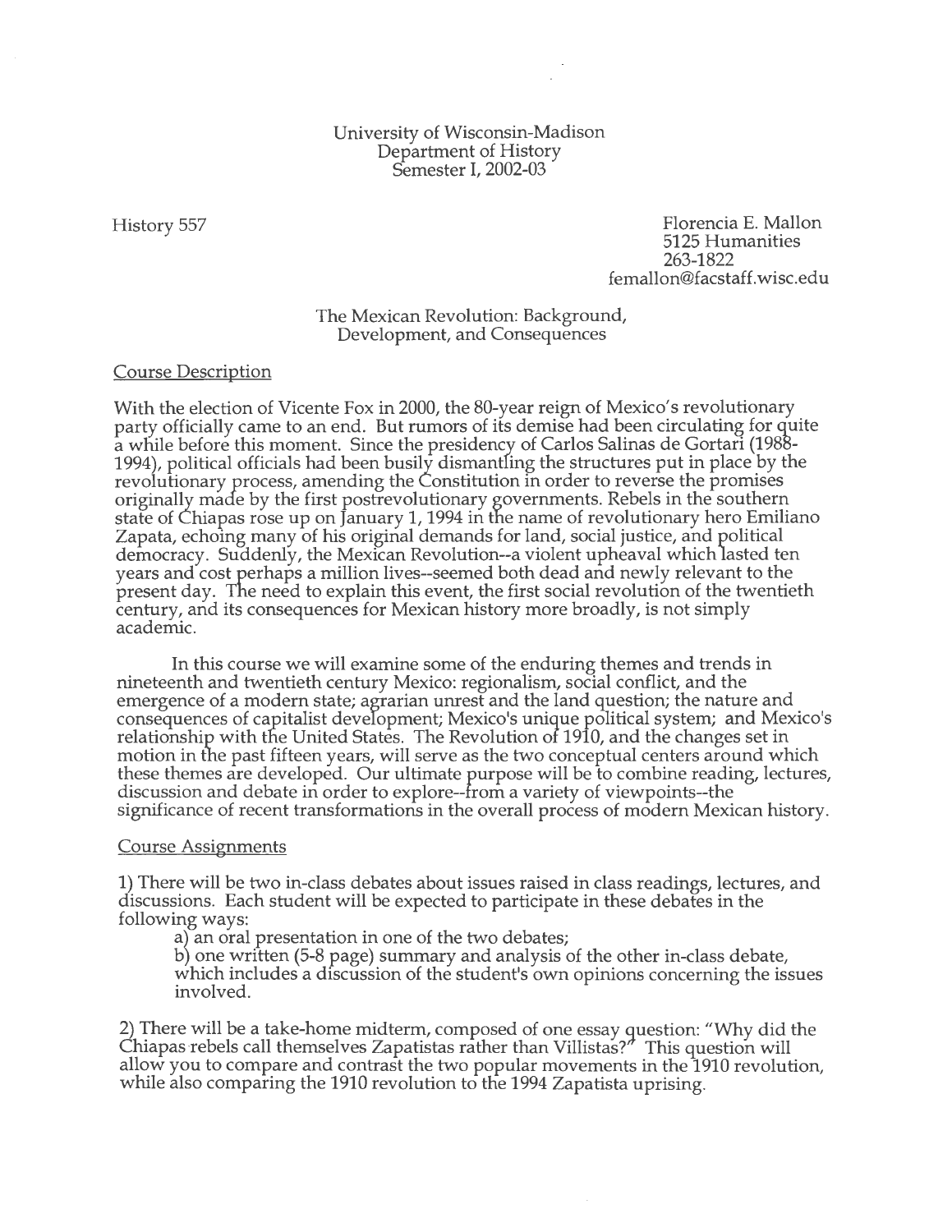## University of Wisconsin-Madison Department of History Semester I, 2002-03

History 557

Florencia E. Mallon 5125 Humanities 263-1822 femallon@facstaff.wisc.edu

The Mexican Revolution: Background, Development, and Consequences

#### Course Description

With the election of Vicente Fox in 2000, the 80-year reign of Mexico's revolutionary party officially came to an end. But rumors of its demise had been circulating for quite a while before this moment. Since the presidency of Carlos Salinas de Gortari (1988- 1994), political officials had been busily dismantling the structures put in place by the revolutionary process, amending the Constitution in order to reverse the promises originally made by the first postrevolutionary governments. Rebels in the southern state of Chiapas rose up on January 1, 1994 in the name of revolutionary hero Emiliano Zapata, echoing many of his original demands for land, social justice, and political democracy. Suddenly, the Mexican Revolution--a violent upheaval which 1asted ten years and cost perhaps a million lives--seemed both dead and newly relevant to the present day. The need to explain this event, the first social revolution of the twentieth century, and its consequences for Mexican history more broadly, is not simply academic.

In this course we will examine some of the enduring themes and trends in nineteenth and twentieth century Mexico: regionalism, social conflict, and the emergence of a modern state; agrarian unrest and the land question; the nature and consequences of capitalist development; Mexico's unique political system; and Mexico's relationship with the United States. The Revolution of 1910, and the changes set in motion in the past fifteen years, will serve as the two conceptual centers around which these themes are developed. Our ultimate purpose will be to combine reading, lectures, discussion and debate in order to explore--from a variety of viewpoints--the significance of recent transformations in the overall process of modern Mexican history.

#### Course Assignments

1) There will be two in-class debates about issues raised in class readings, lectures, and discussions. Each student will be expected to participate in these debates in the following ways:

a) an oral presentation in one of the two debates;

b) one written (5-8 page) summary and analysis of the other in-class debate, which includes a discussion of the student's own opinions concerning the issues involved.

2) There will be a take-home midterm, composed of one essay question: "Why did the Chiapas rebels call themselves Zapatistas rather than Villistas?" This question will allow you to compare and contrast the two popular movements in the 1910 revolution, while also comparing the 1910 revolution to the 1994 Zapatista uprising.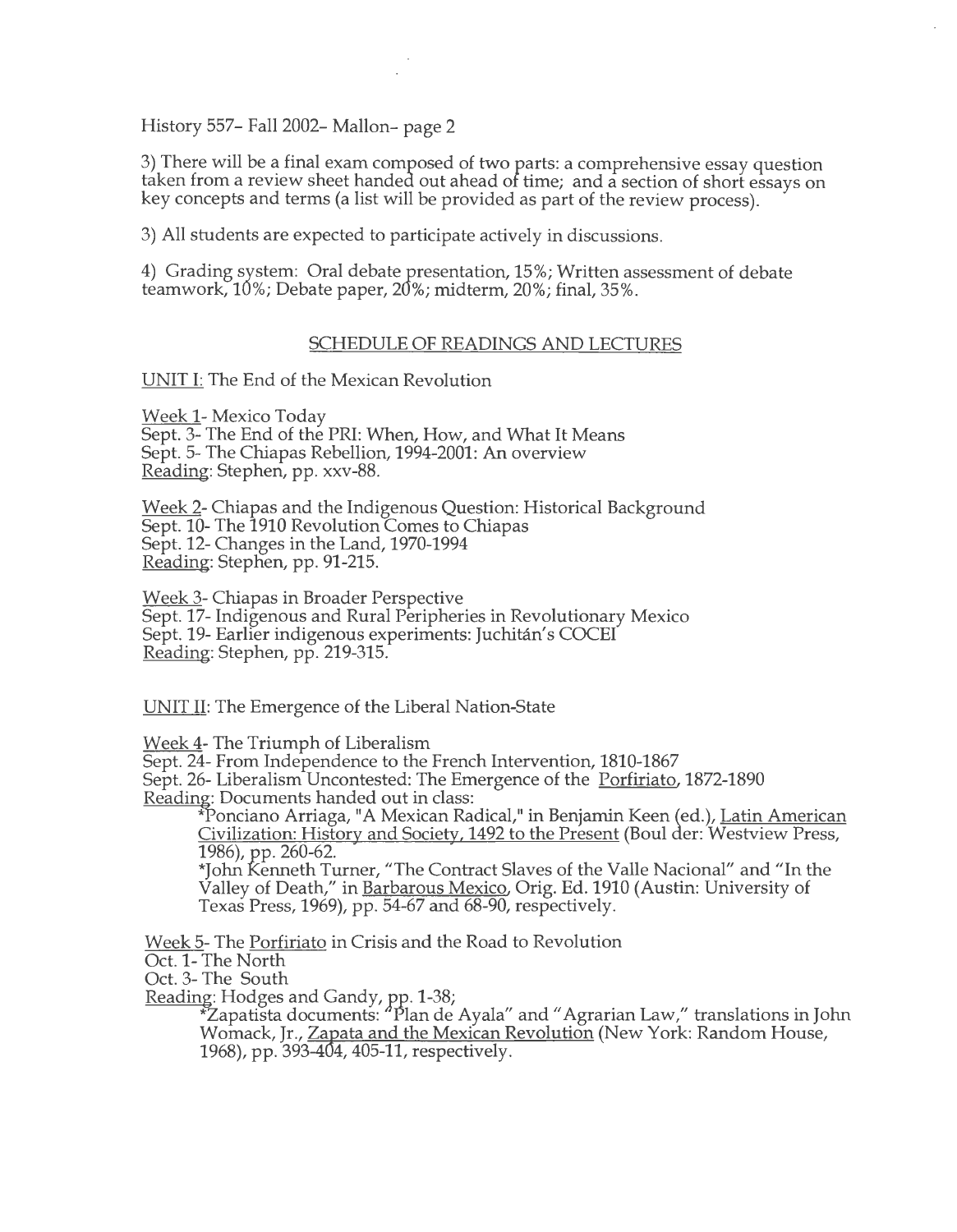History 557– Fall 2002– Mallon– page 2

3) There will be a final exam composed of two parts: a comprehensive essay question taken from a review sheet handed out ahead of time; and a section of short essays on key concepts and terms (a list will be provided as part of the review process).

3) All students are expected to participate actively in discussions.

4) Grading system: Oral debate presentation, 15%; Written assessment of debate teamwork, 10%; Debate paper, 20%; midterm, 20%; final, 35%.

## SCHEDULE OF READINGS AND LECTURES

UNIT I: The End of the Mexican Revolution

Week 1- Mexico Today Sept. 3- The End of the PRI: When, How, and What It Means Sept. 5- The Chiapas Rebellion, 1994-2001: An overview Reading: Stephen, pp. xxv-88.

Week 2- Chiapas and the Indigenous Question: Historical Background Sept. 10- The 1910 Revolution Comes to Chiapas Sept. 12- Changes in the Land, 1970-1994 Reading: Stephen, pp. 91-215.

Week 3- Chiapas in Broader Perspective Sept. 17- Indigenous and Rural Peripheries in Revolutionary Mexico Sept. 19- Earlier indigenous experiments: Juchitan's COCEI Reading: Stephen, pp. 219-315.

UNIT II: The Emergence of the Liberal Nation-State

Week 4- The Triumph of Liberalism

Sept. 24- From Independence to the French Intervention, 1810-1867

Sept. 26- Liberalism Uncontested: The Emergence of the Porfiriato, 1872-1890

Reading: Documents handed out in class:  $\overline{\text{Real}}$  in Benjamin Keen (ed.), Latin American Civilization: History and Society, 1492 to the Present (Boulder: Westview Press, 1986), pp. 260-62.

\*John Kenneth Turner, "The Contract Slaves of the Valle Nacional" and "In the Valley of Death," in Barbarous Mexico, Orig. Ed. 1910 (Austin: University of Texas Press, 1969), pp. 54-67 and 68-90, respectively.

Week 5- The Porfiriato in Crisis and the Road to Revolution

Oct. 1- The North

Oct. 3- The South

Reading: Hodges and Gandy, pp. 1-38;

 $^2$ Zapatista documents:  $^4$ Plan de Ayala $^{\prime\prime}$  and "Agrarian Law," translations in John Womack, Jr., Zapata and the Mexican Revolution (New York: Random House, 1968), pp. 393-404, 405-11, respectively.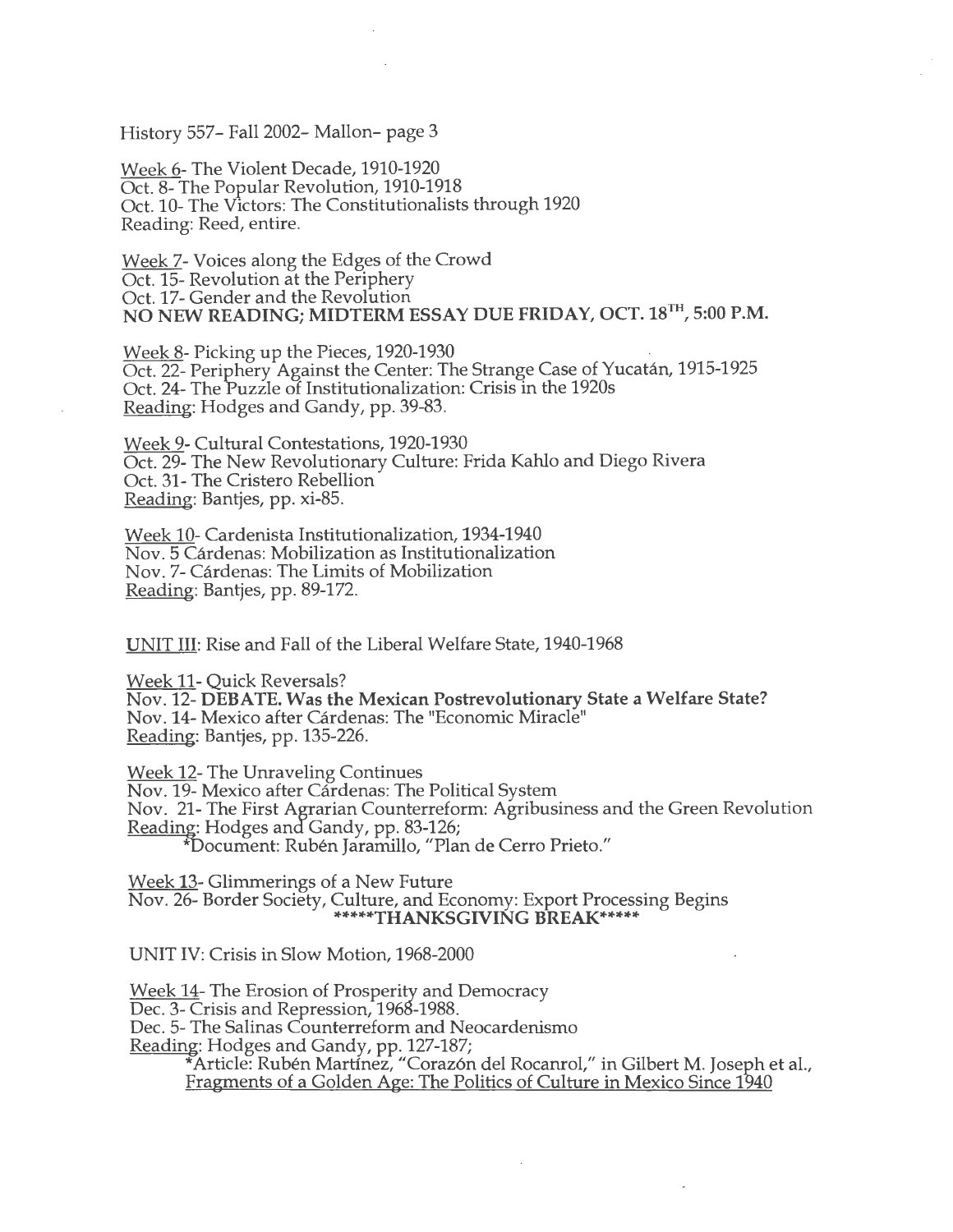History 557- Fall 2002- Mallon- page 3

Week 6- The Violent Decade, 1910-1920 Oct. 8- The Popular Revolution, 1910-1918 Oct. 10- The Victors: The Constitutionalists through 1920 Reading: Reed, entire.

Week 7- Voices along the Edges of the Crowd Oct. 15- Revolution at the Periphery Oct. 17- Gender and the Revolution NO NEW READING; MIDTERM ESSAY DUE FRIDAY, OCT. 18TH, 5:00P.M.

Week 8- Picking up the Pieces, 1920-1930<br>Oct. 22- Periphery Against the Center: The Strange Case of Yucatán, 1915-1925 Oct. 24- The Puzzle of Institutionalization: Crisis in the 1920s Reading: Hodges and Gandy, pp. 39-83.

Week 9- Cultural Contestations, 1920-1930 Oct. 29- The New Revolutionary Culture: Frida Kahlo and Diego Rivera Oct. 31- The Cristero Rebellion Reading: Bantjes, pp. xi-85.

Week 10- Cardenista Institutionalization, 1934-1940 Nov. 5 Cardenas: Mobilization as Institutionalization Nov. 7- Cardenas: The Limits of Mobilization Reading: Bantjes, pp. 89-172.

UNIT III: Rise and Fall of the Liberal Welfare State, 1940-1968

Week 11- Quick Reversals? Nov. 12- DEBATE. Was the Mexican Postrevolutionary State a Welfare State? Nov. 14- Mexico after Cardenas: The "Economic Miracle" Reading: Bantjes, pp. 135-226.

Week 12- The Unraveling Continues Nov. 19- Mexico after Cárdenas: The Political System Nov. 21- The First Agrarian Counterreform: Agribusiness and the Green Revolution Reading: Hodges and Gandy, pp. 83-126; \*Document: Ruben Jarairiillo, "Plan de Cerro Prieto."

Week 13- Glimmerings of a New Future Nov. 26- Border Society, Culture, and Economy: Export Processing Begins \*\*\*\*\*THANKSGIVING BREAK\*\*\*\*\*

UNIT IV: Crisis in Slow Motion, 1968-2000

Week 14- The Erosion of Prosperity and Democracy Dec. 3- Crisis and Repression, 1968-1988. Dec. 5- The Salinas Counterreform and Neocardenismo Reading: Hodges and Gandy, pp. 127-187; \*Article: Ruben Martinez, "Coraz6n del Rocanrol," in Gilbert M. Joseph et al., Fragments of a Golden Age: The Politics of Culture in Mexico Since 1940